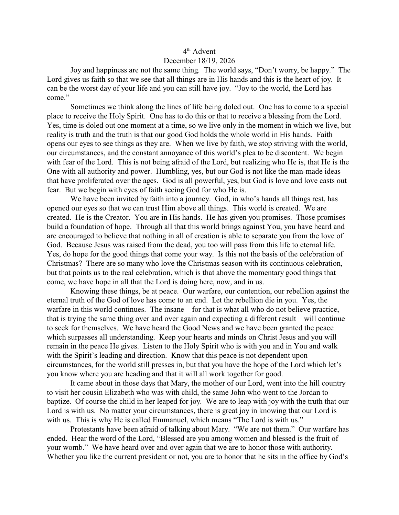## 4<sup>th</sup> Advent

## December 18/19, 2026

Joy and happiness are not the same thing. The world says, "Don't worry, be happy." The Lord gives us faith so that we see that all things are in His hands and this is the heart of joy. It can be the worst day of your life and you can still have joy. "Joy to the world, the Lord has come."

Sometimes we think along the lines of life being doled out. One has to come to a special place to receive the Holy Spirit. One has to do this or that to receive a blessing from the Lord. Yes, time is doled out one moment at a time, so we live only in the moment in which we live, but reality is truth and the truth is that our good God holds the whole world in His hands. Faith opens our eyes to see things as they are. When we live by faith, we stop striving with the world, our circumstances, and the constant annoyance of this world's plea to be discontent. We begin with fear of the Lord. This is not being afraid of the Lord, but realizing who He is, that He is the One with all authority and power. Humbling, yes, but our God is not like the man-made ideas that have proliferated over the ages. God is all powerful, yes, but God is love and love casts out fear. But we begin with eyes of faith seeing God for who He is.

We have been invited by faith into a journey. God, in who's hands all things rest, has opened our eyes so that we can trust Him above all things. This world is created. We are created. He is the Creator. You are in His hands. He has given you promises. Those promises build a foundation of hope. Through all that this world brings against You, you have heard and are encouraged to believe that nothing in all of creation is able to separate you from the love of God. Because Jesus was raised from the dead, you too will pass from this life to eternal life. Yes, do hope for the good things that come your way. Is this not the basis of the celebration of Christmas? There are so many who love the Christmas season with its continuous celebration, but that points us to the real celebration, which is that above the momentary good things that come, we have hope in all that the Lord is doing here, now, and in us.

Knowing these things, be at peace. Our warfare, our contention, our rebellion against the eternal truth of the God of love has come to an end. Let the rebellion die in you. Yes, the warfare in this world continues. The insane – for that is what all who do not believe practice, that is trying the same thing over and over again and expecting a different result – will continue to seek for themselves. We have heard the Good News and we have been granted the peace which surpasses all understanding. Keep your hearts and minds on Christ Jesus and you will remain in the peace He gives. Listen to the Holy Spirit who is with you and in You and walk with the Spirit's leading and direction. Know that this peace is not dependent upon circumstances, for the world still presses in, but that you have the hope of the Lord which let's you know where you are heading and that it will all work together for good.

It came about in those days that Mary, the mother of our Lord, went into the hill country to visit her cousin Elizabeth who was with child, the same John who went to the Jordan to baptize. Of course the child in her leaped for joy. We are to leap with joy with the truth that our Lord is with us. No matter your circumstances, there is great joy in knowing that our Lord is with us. This is why He is called Emmanuel, which means "The Lord is with us."

Protestants have been afraid of talking about Mary. "We are not them." Our warfare has ended. Hear the word of the Lord, "Blessed are you among women and blessed is the fruit of your womb." We have heard over and over again that we are to honor those with authority. Whether you like the current president or not, you are to honor that he sits in the office by God's